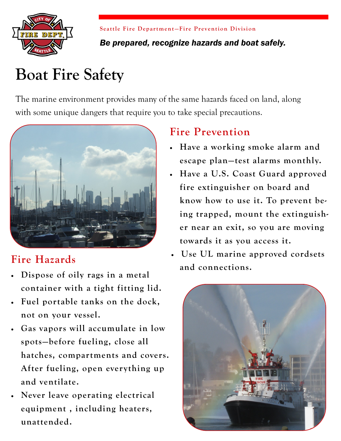

**Seattle Fire Department-Fire Prevention Division** *Be prepared, recognize hazards and boat safely.* 

# **Boat Fire Safety**

The marine environment provides many of the same hazards faced on land, along with some unique dangers that require you to take special precautions.



### **Fire Hazards**

- **Dispose of oily rags in a metal container with a tight fitting lid.**
- **Fuel portable tanks on the dock, not on your vessel.**
- **Gas vapors will accumulate in low spots—before fueling, close all hatches, compartments and covers. After fueling, open everything up and ventilate.**
- **Never leave operating electrical equipment , including heaters, unattended.**

#### **Fire Prevention**

- **Have a working smoke alarm and escape plan—test alarms monthly.**
- **Have a U.S. Coast Guard approved fire extinguisher on board and know how to use it. To prevent being trapped, mount the extinguisher near an exit, so you are moving towards it as you access it.**
- **Use UL marine approved cordsets and connections.**